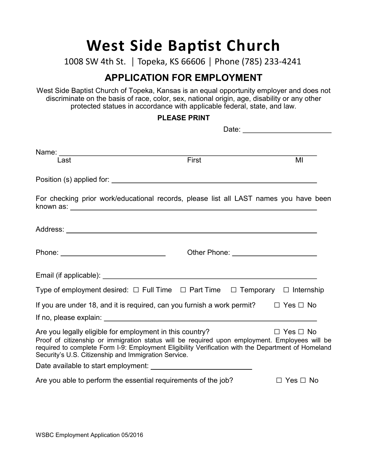# **West Side Baptist Church**

1008 SW 4th St. | Topeka, KS 66606 | Phone (785) 233-4241

# **APPLICATION FOR EMPLOYMENT**

West Side Baptist Church of Topeka, Kansas is an equal opportunity employer and does not discriminate on the basis of race, color, sex, national origin, age, disability or any other protected statues in accordance with applicable federal, state, and law.

### **PLEASE PRINT**

Date:

| Last                                                                                                                                                                                                                                                                                                                     | First                                 | MI                   |
|--------------------------------------------------------------------------------------------------------------------------------------------------------------------------------------------------------------------------------------------------------------------------------------------------------------------------|---------------------------------------|----------------------|
|                                                                                                                                                                                                                                                                                                                          |                                       |                      |
| For checking prior work/educational records, please list all LAST names you have been                                                                                                                                                                                                                                    |                                       |                      |
|                                                                                                                                                                                                                                                                                                                          |                                       |                      |
|                                                                                                                                                                                                                                                                                                                          | Other Phone: ________________________ |                      |
|                                                                                                                                                                                                                                                                                                                          |                                       |                      |
| Type of employment desired: $\Box$ Full Time $\Box$ Part Time $\Box$ Temporary $\Box$ Internship                                                                                                                                                                                                                         |                                       |                      |
| If you are under 18, and it is required, can you furnish a work permit?                                                                                                                                                                                                                                                  |                                       | $\Box$ Yes $\Box$ No |
|                                                                                                                                                                                                                                                                                                                          |                                       |                      |
| Are you legally eligible for employment in this country?<br>Proof of citizenship or immigration status will be required upon employment. Employees will be<br>required to complete Form I-9: Employment Eligibility Verification with the Department of Homeland<br>Security's U.S. Citizenship and Immigration Service. |                                       | $\Box$ Yes $\Box$ No |
|                                                                                                                                                                                                                                                                                                                          |                                       |                      |
| Are you able to perform the essential requirements of the job?                                                                                                                                                                                                                                                           |                                       | $\Box$ Yes $\Box$ No |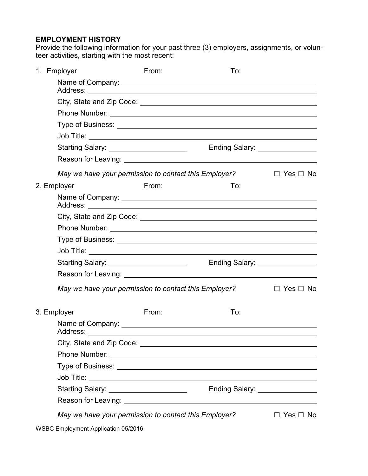#### **EMPLOYMENT HISTORY**

Provide the following information for your past three (3) employers, assignments, or volunteer activities, starting with the most recent:

| 1. Employer                                           | From: | To:                             |                      |
|-------------------------------------------------------|-------|---------------------------------|----------------------|
|                                                       |       |                                 |                      |
|                                                       |       |                                 |                      |
|                                                       |       |                                 |                      |
|                                                       |       |                                 |                      |
|                                                       |       |                                 |                      |
| Starting Salary: _____________________                |       | Ending Salary: ________________ |                      |
|                                                       |       |                                 |                      |
| May we have your permission to contact this Employer? |       |                                 | $\Box$ Yes $\Box$ No |
| 2. Employer                                           | From: | To:                             |                      |
|                                                       |       |                                 |                      |
|                                                       |       |                                 |                      |
|                                                       |       |                                 |                      |
|                                                       |       |                                 |                      |
|                                                       |       |                                 |                      |
| Starting Salary: ______________________               |       | Ending Salary: ________________ |                      |
|                                                       |       |                                 |                      |
| May we have your permission to contact this Employer? |       |                                 | $\Box$ Yes $\Box$ No |
| 3. Employer                                           | From: | To:                             |                      |
|                                                       |       |                                 |                      |
|                                                       |       |                                 |                      |
|                                                       |       |                                 |                      |
|                                                       |       |                                 |                      |
|                                                       |       |                                 |                      |
| Starting Salary: _______________________              |       | Ending Salary: ________________ |                      |
|                                                       |       |                                 |                      |
| May we have your permission to contact this Employer? |       |                                 | $\Box$ Yes $\Box$ No |

WSBC Employment Application 05/2016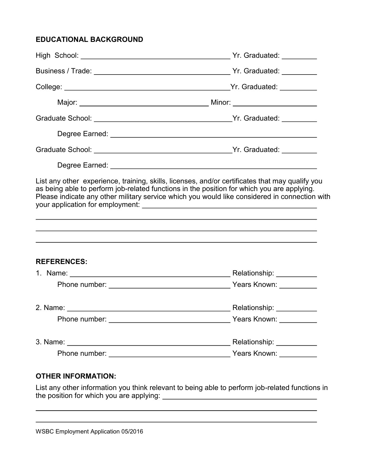# **EDUCATIONAL BACKGROUND**

|                    | Please indicate any other military service which you would like considered in connection with<br>,我们也不会有什么。""我们的人,我们也不会有什么?""我们的人,我们也不会有什么?""我们的人,我们也不会有什么?""我们的人,我们也不会有什么?""我们的人 |
|--------------------|-----------------------------------------------------------------------------------------------------------------------------------------------------------------------------------|
| <b>REFERENCES:</b> |                                                                                                                                                                                   |
|                    |                                                                                                                                                                                   |
|                    |                                                                                                                                                                                   |
|                    |                                                                                                                                                                                   |
|                    |                                                                                                                                                                                   |
|                    |                                                                                                                                                                                   |
|                    |                                                                                                                                                                                   |

## **OTHER INFORMATION:**

List any other information you think relevant to being able to perform job-related functions in the position for which you are applying:

WSBC Employment Application 05/2016